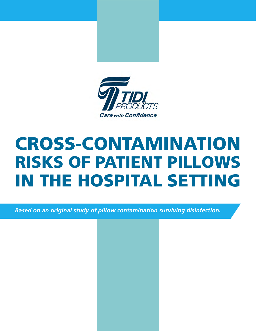



# **CROSS-CONTAMINATION<br>RISKS OF PATIENT PILLOWS N THE HOSPITAL SETTING** Cross-Contamination Risks of Patient Pillows in the Hospital Setting

VICTOR R. LANgE, CRC, MSPH

 $\bf{E}$  and  $\bf{E}$  original study of pillow contamination surviving disinfection. *Based on an original study of pillow contamination surviving disinfection.*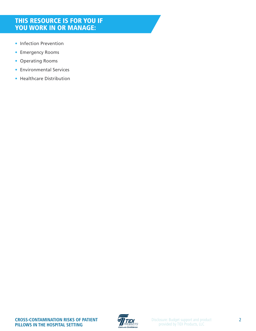# THIS RESOURCE IS FOR YOU IF YOU WORK IN OR MANAGE:

- Infection Prevention
- Emergency Rooms
- Operating Rooms
- Environmental Services
- Healthcare Distribution

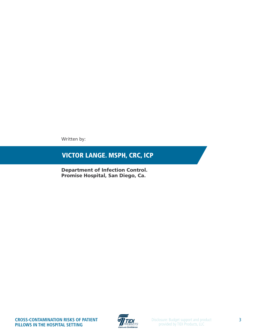Written by:

# Victor Lange. MSPH, CRC, ICP

Department of Infection Control. Promise Hospital, San Diego, Ca.

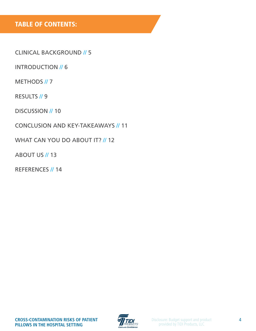# Table oF CONTENTS:

Clinical [Background //](#page-4-0) 5

[INTRODUCTION](#page-5-0) // 6

[METHODS](#page-6-0) // 7

RESULTS // 9

DISCUSSION // 10

Conclusion [and key-takeaways](#page-10-0) // 11

WHAT CAN YOU DO ABOUT IT? // 12

**ABOUT US // 13** 

[References //](#page-13-0) 14

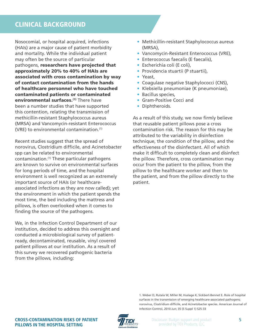# <span id="page-4-0"></span>Clinical Background

Nosocomial, or hospital acquired, infections (HAIs) are a major cause of patient morbidity and mortality. While the individual patient may often be the source of particular pathogens, researchers have projected that approximately 20% to 40% of HAIs are associated with cross contamination by way of contact contamination from the hands of healthcare personnel who have touched contaminated patients or contaminated environmental surfaces.<sup>(1)</sup> There have been a number studies that have supported this contention, relating the transmission of methicillin-resistant Staphylococcus aureus (MRSA) and Vancomycin-resistant Enterococcus (VRE) to environmental contamination.<sup>(1)</sup>

Recent studies suggest that the spread of norovirus, Clostridium difficile, and Acinetobacter spp can be related to environmental contamination.<sup>(1)</sup> These particular pathogens are known to survive on environmental surfaces for long periods of time, and the hospital environment is well recognized as an extremely important source of HAIs (or healthcareassociated infections as they are now called); yet the environment in which the patient spends the most time, the bed including the mattress and pillows, is often overlooked when it comes to finding the source of the pathogens.

We, in the Infection Control Department of our institution, decided to address this oversight and conducted a microbiological survey of patientready, decontaminated, reusable, vinyl covered patient pillows at our institution. As a result of this survey we recovered pathogenic bacteria from the pillows, including:

- Methicillin-resistant Staphylococcus aureus (MRSA),
- Vancomycin-Resistant Enterococcus (VRE),
- Enterococcus faecalis (E faecalis),
- • Escherichia coli (E coli),
- • Providencia stuartii (P stuartii),
- • Yeast,
- Coagulase negative Staphylococci (CNS),
- • Klebsiella pneumoniae (K pneumoniae),
- Bacillus species,
- Gram-Positive Cocci and
- Diphtheroids.

As a result of this study, we now firmly believe that reusable patient pillows pose a cross contamination risk. The reason for this may be attributed to the variability in disinfection technique, the condition of the pillow, and the effectiveness of the disinfectant. All of which make it difficult to completely clean and disinfect the pillow. Therefore, cross contamination may occur from the patient to the pillow, from the pillow to the healthcare worker and then to the patient, and from the pillow directly to the patient.



<sup>1.</sup> Weber D, Rutala W, Miller M, Huslage K, Sickbert-Bennet E. Role of hospital surfaces in the transmission of emerging healthcare-associated pathogens; norovirus, Clostridium difficile, and Acinetobacter species. American Journal of Infection Control, 2010 Jun; 35 (5 Suppl 1) S25-33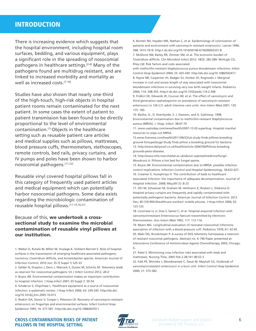# <span id="page-5-0"></span>**INTRODUCTION**

There is increasing evidence which suggests that the hospital environment, including hospital room surfaces, bedding, and various equipment, plays a significant role in the spreading of nosocomial pathogens in healthcare settings.<sup> $(2-6)$ </sup> Many of the pathogens found are multidrug resistant, and are linked to increased morbidity and mortality as well as increased costs.<sup>(7-10)</sup>

Studies have also shown that nearly one-third of the high-touch, high-risk objects in hospital patient rooms remain contaminated for the next patient. In some cases the extent of patient to patient transmission has been found to be directly proportional to the level of environmental contamination.(1) Objects in the healthcare setting such as reusable patient care articles and medical supplies such as pillows, mattresses, blood pressure cuffs, thermometers, stethoscopes, remote controls, bed rails, privacy curtains, and IV pumps and poles have been shown to harbor nosocomial pathogens.(11-22)

Reusable vinyl covered hospital pillows fall in this category of frequently used patient articles and medical equipment which can potentially harbor nosocomial pathogens. Some data exists regarding the microbiologic contamination of reusable hospital pillows.(11-14,16,21)

#### Because of this, we undertook a crosssectional study to examine the microbial contamination of reusable vinyl pillows at our institution.

1. Weber D, Rutala W, Miller M, Huslage K, Sickbert-Bennet E. Role of hospital surfaces in the transmission of emerging healthcare-associated pathogens; norovirus, Clostridium difficile, and Acinetobacter species. American Journal of Infection Control, 2010 Jun; 35 (5 Suppl 1) S25-33

2. Safdar N, Drayton J, Dern J, Warrack S, Duster M, Schmitz M. Telemetry leads as reservoir for nosocomial pathogens. Int J Infect Control 2012, v8:i2

3. Boyce JM. Environmental contamination makes an important contribution to hospital infection. J Hosp Infect 2007; 65 Suppl 2: 50-54.

4. Schabrun S, Chipchase L. Healthcare equipment as a source of nosocomial infection: a systematic review. J Hosp Infect 2006; 63: 239-245. http://dx.doi. org/10.1016/j.jhin.2005.10.013

5. Noskin GA, Stosor V, Cooper I, Peterson LR. Recovery of vancomycin-resistant enterococci on fingertips and environmental surfaces. Infect Control Hosp Epidemiol 1995; 16: 577-581. http://dx.doi.org/10.1086/647011

6. Bonten MJ, Hayden MK, Nathan C, et al. Epidemiology of colonization of patients and environment with vancomycin resistant enterococci. Lancet 1996; 348: 1615-1619. http:// dx.doi.org/10.1016/S0140-6736(96)02331-8 7. McGlone SM, Bailey RR, Zimmer SM, et al. The economic burden of Clostridium difficile. Clin Microbiol Infect 2012; 18(3): 282-289. McHugh CG, Riley LW. Risk factors and costs associated

with methicillin-resistant Staphylococcus aureus bloodstream infections. Infect Control Hosp Epidemiol 2004; 25: 425-430. http://dx.doi.org/10.1086/502417 8. Payne NR, Carpenter JH, Badger GJ, Horbar JD, Rogowski J. Marginal increase in cost and excess length of stay associated with nosocomial bloodstream infections in surviving very low birth weight infants. Pediatrics 2004; 114: 348-355. http:// dx.doi.org/10.1542/peds.114.2.348

9. Fridkin SK, Edwards JR, Courval JM, et al. The effect of vancomycin and third-generation cephalosporins on prevalence of vancomycin-resistant enterococci in 126 U.S. adult intensive care units. Ann Intern Med 2001; 135: 175- 183.

10. Blythe, D., D. Keenlyside, S. J. Dawson, and A. Galloway. 1998. Environmental contamination due to methicillin-resistant Staphylococcus aureus (MRSA). J. Hosp. Infect. 38:67-70

11. www.usatoday.com/news/health/2007-12-02-superbug. Hospital marshal resources to wipe out MRSA.

12.www.foxnews.com/health/2011/06/22/uk-study-finds-pillows-breedingground-forsuperbugs/.Study finds pillow a breeding ground for bacteria. 13. http://www.dailymail.co.uk/health/article-2006760/Pillows-breedinggrounds-pests-diseases.

14. http://www.mhs.manchester.ac.uk/about-us/press/medicine/fungi/. Woodcock A. Pillows a hot bed for fungal spores.

15. Boyce JM. Environmental contamination due to MRSA: possible infection control implications. Infection Control and Hospital Epidemiology. 18:622-627. 16. Creamer E, Humphreys H. The contribution of beds to healthcare associated infection: the importance of adequate decontamination. Journal of Hospital Infection. 2008; May;69 (1): 8-23

17. Ohl M, Schweizer M, Graham M. Heilmann K, Boyken L, Diekema D. Hospital privacy curtains are frequently and rapidly contaminated with potentially pathogenic bacteria. American Journal of Infection Control. 2012 Dec; 40 (10):904-6healthcare workers' mobile phones. J Hosp Infect 2006; 62: 123-125

18. Livornese LL Jr, Dias S, Samel C, et al. Hospital-acquired infection with vancomycinresistant Enterococcus faecium transmitted by electronic thermometers. Ann Intern Med 1992; 117: 112-116.

19. Myers MG. Longitudinal evaluation of neonatal nosocomial infections: association of infection with a blood pressure cuff. Pediatrics 1978; 61: 42-45. 20. Maki DG, Brookmeyer P. A survey of EKG telemetry harnessesas a reservoir of resistant noscomial pathogens. Abstract no. K-746 Paper presented at: Interscience Conference of Antimicrobial Agents Chemotherapy 2003; Chicago, IL.

21. Patel S. Minimizing cross infection risks associated with beds and mattresses. Nursing Time, 2005 Feb 2-28;101 (8):52-3

22. Falk PS, Winnike J, Woodmansee C, Desai M, Mayhall CG. Outbreak of vancomycinresistant enterococci in a burn unit. Infect Control Hosp Epidemiol 2000; 21: 575-582.



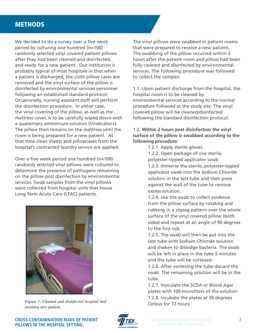### <span id="page-6-0"></span>**METHODS**

We decided to do a survey over a five week period by culturing one hundred (n=100) randomly selected vinyl covered patient pillows after they had been cleaned and disinfected, and ready for a new patient. Our institution is probably typical of most hospitals in that when a patient is discharged, the cloth pillow cases are removed and the vinyl surface of the pillow is disinfected by environmental services personnel following an established standard protocol. Occasionally, nursing assistant staff will perform the disinfection procedure. In either case, the vinyl covering of the pillow, as well as the mattress cover, is to be carefully wiped down with a quaternary ammonium solution (Vindicator+). The pillow then remains on the mattress until the room is being prepared for a new patient. At that time clean sheets and pillowcases from the hospital's contracted laundry service are applied.

Over a five week period one hundred (n=100) randomly selected vinyl pillows were cultured to determine the presence of pathogens remaining on the pillow post disinfection by environmental services. Swab samples from the vinyl pillows were collected from hospital units that house Long Term Acute Care (LTAC) patients.



*Figure 1, Cleaned and disinfected hospital bed awaiting new patient.*

The vinyl pillows were swabbed in patient rooms that were prepared to receive a new patient. The swabbing of the pillow occurred within 2 hours after the patient room and pillow had been fully cleaned and disinfected by environmental services. The following procedure was followed to collect the samples:

1.1. Upon patient discharge from the hospital, the hospital room is to be cleaned by environmental services according to the normal procedure followed at the study site. The vinyl covered pillow will be cleaned/disinfected following the standard disinfection protocol.

1.2. **Within 2 hours post disinfection the vinyl surface of the pillow is swabbed according to the following procedure:** 

1.2.1. Apply sterile gloves

1.2.2. Open package of one sterile, polyester-tipped applicator swab 1.2.3. Immerse the sterile, polyester-tipped applicator swab into the Sodium Chloride solution in the test tube and then press against the wall of the tube to remove excess solution.

1.2.4. Use the swab to collect evidence from the pillow surface by rotating and rubbing in a zigzag pattern over the whole surface of the vinyl covered pillow (both sides) and repeat at an angle of 90 degrees to the first rub.

1.2.5. The swab will then be put into the test tube with Sodium Chloride solution and shaken to dislodge bacteria. The swab will be left in place in the tube 5 minutes and the tube will be vortexed.

1.2.6. After vortexing the tube discard the swab. The remaining solution will be in the tube.

1.2.7. Inoculate the SCDA or Blood Agar plates with 100 microliters of the solution. 1.2.8. Incubate the plates at 36 degrees Celsius for 72 hours

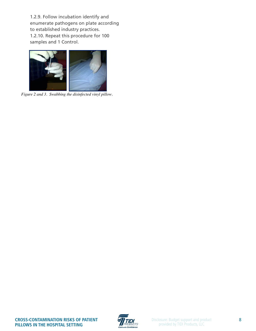1.2.9. Follow incubation identify and enumerate pathogens on plate according to established industry practices. 1.2.10. Repeat this procedure for 100 samples and 1 Control.  $1.2.3.$  I onow incubation factory a numerate pathogens on plate accordi Control.



 *Figure 2 and 3. Swabbing the disinfected vinyl pillow.*

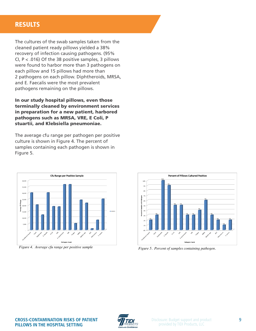## <span id="page-8-0"></span>**RESULTS**

The cultures of the swab samples taken from the cleaned patient ready pillows yielded a 38% recovery of infection causing pathogens. (95% CI,  $P < .016$ ) Of the 38 positive samples, 3 pillows were found to harbor more than 3 pathogens on each pillow and 15 pillows had more than 2 pathogens on each pillow. Diphtheroids, MRSA, and E. Faecalis were the most prevalent pathogens remaining on the pillows.

industry practices.

In our study hospital pillows, even those terminally cleaned by environment services causing pathogens from the pillows. (95% CI, P < .016) in preparation for a new patient, harbored pathogens such as MRSA, VRE, E Coli, P stuartii, and Klebsiella pneumoniae.  $\sum_{i=1}^n$ 

The average cfu range per pathogen per positive culture is shown in Figure 4. The percent of samples containing each pathogen is shown in **Figure 5.** Pathogen per pathogen per pathogen per pathogen per pathogen per pathogen per pathogen per pathogen p



*Figure 4. Average cfu range per positive sample*



Figure 5. Percent of samples containing pathogen.

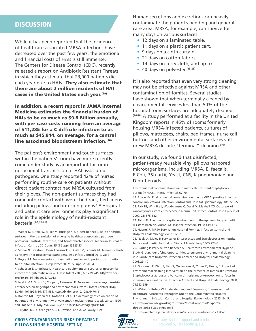## <span id="page-9-0"></span>**DISCUSSION**

While it has been reported that the incidence of healthcare-associated MRSA infections have decreased over the past few years, the emotional and financial costs of HAIs is still immense. The Centers for Disease Control (CDC), recently released a report on Antibiotic Resistant Threats in which they estimate that 23,000 patients die each year due to HAIs. They also estimate that there are about 2 million incidents of HAI cases in the United States each year.<sup>(29)</sup>

In addition, a recent report in JAMA Internal Medicine estimates the financial burden of HAIs to be as much as \$9.8 Billion annually, with per case costs running from an average of \$11,285 for a C difficile infection to as much as \$45,814, on average, for a central line associated bloodstream infection.(30)

The patient's environment and touch surfaces within the patients' room have more recently come under study as an important factor in nosocomial transmission of HAI associated pathogens. One study reported 42% of nurses performing routine care on patients without direct patient contact had MRSA cultured from their gloves. The non-patient surfaces they had come into contact with were: bed rails, bed linens including pillows and infusion pumps.(15) Hospital and patient care environments play a significant role in the epidemiology of multi-resistant bacteria.(1-6,22-25)

1. Weber D, Rutala W, Miller M, Huslage K, Sickbert-Bennet E. Role of hospital surfaces in the transmission of emerging healthcare-associated pathogens; norovirus, Clostridium difficile, and Acinetobacter species. American Journal of Infection Control, 2010 Jun; 35 (5 Suppl 1) S25-33

2. Safdar N, Drayton J, Dern J, Warrack S, Duster M, Schmitz M. Telemetry leads as reservoir for nosocomial pathogens. Int J Infect Control 2012, v8:i2

3. Boyce JM. Environmental contamination makes an important contribution to hospital infection. J Hosp Infect 2007; 65 Suppl 2: 50-54.

4. Schabrun S, Chipchase L. Healthcare equipment as a source of nosocomial infection: a systematic review. J Hosp Infect 2006; 63: 239-245. http://dx.doi. org/10.1016/j.jhin.2005.10.013

5. Noskin GA, Stosor V, Cooper I, Peterson LR. Recovery of vancomycin-resistant enterococci on fingertips and environmental surfaces. Infect Control Hosp Epidemiol 1995; 16: 577-581. http://dx.doi.org/10.1086/647011

6. Bonten MJ, Hayden MK, Nathan C, et al. Epidemiology of colonization of patients and environment with vancomycin resistant enterococci. Lancet 1996; 348: 1615-1619. http:// dx.doi.org/10.1016/S0140-6736(96)02331-8 10. Blythe, D., D. Keenlyside, S. J. Dawson, and A. Galloway. 1998.

Human secretions and excretions can heavily contaminate the patient's bedding and general care area. MRSA, for example, can survive for many days on various surfaces:

- 12 days on a laminated table,
- 11 days on a plastic patient cart,
- 9 days on a cloth curtain,
- 21 days on cotton fabrics,
- 14 days on terry cloth, and up to
- $\bullet$  40 days on polyester.  $(23-25)$

It is also reported that even very strong cleaning may not be effective against MRSA and other contamination of fomites. Several studies have shown that when terminally cleaned by environmental services less than 50% of the hospital room surfaces are adequately cleaned. (26-28) A study performed at a facility in the United Kingdom reports in 46% of rooms formerly housing MRSA-infected patients, cultures of pillows, mattresses, chairs, bed frames, nurse call buttons and other environmental surfaces still grew MRSA despite "terminal" cleaning.(10)

In our study, we found that disinfected, patient-ready reusable vinyl pillows harbored microorganisms, including MRSA, E. faecalis, E.Coli, P.Stuartii, Yeast, CNS, K pneumoniae and Diphtheroids.

Environmental contamination due to methicillin-resistant Staphylococcus aureus (MRSA). J. Hosp. Infect. 38:67-70

15. Boyce JM. Environmental contamination due to MRSA: possible infection control implications. Infection Control and Hospital Epidemiology. 18:622-627. 22. Falk PS, Winnike J, Woodmansee C, Desai M, Mayhall CG. Outbreak of vancomycinresistant enterococci in a burn unit. Infect Control Hosp Epidemiol 2000; 21: 575-582.

23. Talon D. The role of hospital environment in the epidemiology of multi resistant bacteria.Journal of Hospital Infection. 1999; 43:13-17.

24. Huang, R. MRSA Survival on Hospital Fomites. Infection Control and Hospital Epidemiology. 27(11) 1267-9

25. Neely A, Maley P. Survival of Enterococcus and Stapylococcus on hospital fabrics and plastic. Journal of Clinical Microbiology 38(2) 724-6

26. .Carling P, Parry M, von Beheren S: Healthcare Environmental Hygiene Study Group. Identifying opportunities to enhance environmental cleaning in 23 acute care hospitals. Infection Control and Hospital Epidemiology, 2008;29:1-7

27. Goodman E, Platt R, Bass R, Onderdonk A, Yokoe D, Huang S. Impact of environmental cleaning intervention on the presence of methicillin-resistant Staphylococcus aureus and Vancomycin-resistant enterococci on surfaces in intensive care unit rooms. Infection Control and Hospital Epidemiology 2008; 29:593-599.

28. Weber D, Rutala W. Understanding and Preventing Transmission of Healthcare-Associated Pathogens Due to the Contaminated Hospital Environment. Infection Control and Hospital Epidemiology, 2013; 34: 5. 29. [http://www.cdc.gov/drugresistance/threat-report-2013/pdf/ar](http://www.cdc.gov/drugresistance/threat-report-2013/pdf/ar-threats-2013-508.pdf#page=6)[threats-2013-508.pdf#page=6](http://www.cdc.gov/drugresistance/threat-report-2013/pdf/ar-threats-2013-508.pdf#page=6)

30. <http://archinte.jamanetwork.com/article.aspx?articleid=1733452>

**Cross-Contamination Risks of Patient Pillows in the Hospital Setting**



Disclosure: Budget support and product provided by TIDI Products, LLC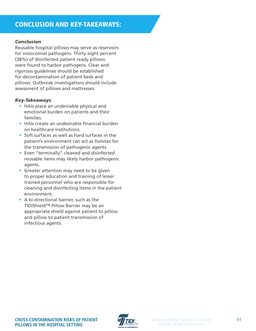# <span id="page-10-0"></span>Conclusion and key-takeaways:

#### *Conclusion*

Reusable hospital pillows may serve as reservoirs for nosocomial pathogens. Thirty eight percent (38%) of disinfected patient ready pillows were found to harbor pathogens. Clear and rigorous guidelines should be established for decontamination of patient beds and pillows. Outbreak investigations should include assessment of pillows and mattresses.

#### *Key-Takeaways*

- HAIs place an undeniable physical and emotional burden on patients and their families.
- HAIs create an undesirable financial burden on healthcare institutions.
- Soft surfaces as well as hard surfaces in the patient's environment can act as fomites for the transmission of pathogenic agents.
- Even "terminally" cleaned and disinfected reusable items may likely harbor pathogenic agents.
- Greater attention may need to be given to proper education and training of lesser trained personnel who are responsible for cleaning and disinfecting items in the patient environment.
- A bi-directional barrier, such as the TIDIShield™ Pillow Barrier may be an appropriate shield against patient to pillow and pillow to patient transmission of infectious agents.

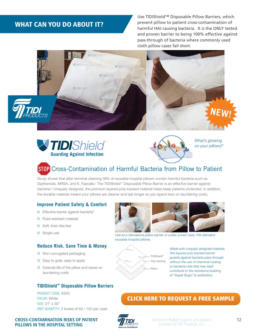# <span id="page-11-0"></span>WHAT CAN YOU DO ABOUT IT?

and proven barrier to being 100% enective against proven barrier to being Use TIDIShield™ Disposable Pillow Barriers, which prevent pillow to patient cross-contamination of ABOUT IT? harmful HAI causing bacteria. It is the ONLY tested and proven barrier to being 100% effective against **cloth pillow cases fall short.** 







*What's growing on your pillows?*

# **STOP** Cross-Contamination of Harmful Bacteria from Pillow to Patient

**Personal Study**<br>Study shows that after terminal cleaning 38% of reusable hospital pillows contain harmful bacteria such as otacy onowe that alter terminal eleaning ocho or readable neephal pillow Bernam harman bactena eden as<br>Diptheroids, MRSA, and E. Faecalis.' The TIDIShield™ Disposable Pillow Barrier is an effective barrier against bacteria.<sup>2</sup> Uniquely designed, the premium layered poly-backed material helps keep patients protected. In addition, the durable material means your pillows are cleaner and last longer so you spend less on laundering costs.

#### **Improve patient Safety & Comfort**

- Effective barrier against bacteria<sup>2</sup>
- **E** Fluid-resistant material
- Soft, linen-like feel
- Single-use

**Pillows in the Hospital Setting**

#### **Reduce Risk. Save Time & Money**

- Non-corrugated packaging
- Easy to grab, easy to apply
- Extends life of the pillow and saves on laundering costs

#### **TIDIShield™ Disposable pillow barriers**

PRODUCT CODE: 6355 COLOR: White Size: 21" x 30" UNIT QUANTITY: 2 boxes of 50 / 100 per case



*Use as a standalone pillow barrier or under a linen case. Fits standard reusable hospital pillows.* 



**Made with uniquely designed material,** *this layered poly-backed barrier*  rnis layered poly-backed barrier<br>guards against bacteria pass-through **bacteria 1.800.521.1314 Poly-backing** without the use of chemical coating *or bacteria-cide that may itself*  **Example 2** Pillow contribute in the resistance building *of "Super Bugs" to antibiotics.*

#### *label lets you know you're protected!* [CLICK HERE TO REQUEST A FREE SAMPLE](http://go.tidiproducts.com/pillow-barrier-sample-request)

570 EntErprisE DrivE, nEEnah, Wi Usa 54956



Disclosure: Budget support and product provided by TIDI Products, LLC Disclosure: Budget support and product **S OF PATIENT EXAMPLE PROVIDED** Disclosure: Budget support and product **12 12**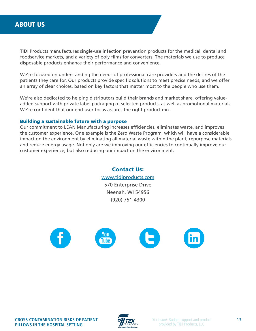# <span id="page-12-0"></span>**ABOUT US About us**

TIDI Products manufactures single-use infection prevention products for the medical, dental and foodservice markets, and a variety of poly films for converters. The materials we use to produce disposable products enhance their performance and convenience.

We're focused on understanding the needs of professional care providers and the desires of the patients they care for. Our products provide specific solutions to meet precise needs, and we offer an array of clear choices, based on key factors that matter most to the people who use them.

We're also dedicated to helping distributors build their brands and market share, offering valueadded support with private label packaging of selected products, as well as promotional materials. We're confident that our end-user focus assures the right product mix.

#### Building a sustainable future with a purpose Building a sustainable future with a purpose Building a sustainable future with a purpose Building a sustainable future with a purpose Building a sustainable future with a purpose

Our commitment to LEAN Manufacturing increases efficiencies, eliminates waste, and improves the customer experience. One example is the Zero Waste Program, which will have a considerable impact on the environment by eliminating all material waste within the plant, repurpose materials, and reduce energy usage. Not only are we improving our efficiencies to continually improve our customer experience, but also reducing our impact on the environment.

> Contact Us: Contact Us: Contact Us: Contact Us: Contact Us: [www.tidiproducts.com](http://www.tidiproducts.com) www.tidiproducts.com www.tidiproducts.com www.tidiproducts.com www.tidiproducts.com 570 Enterprise Drive 570 Enterprise Drive 570 Enterprise Drive 570 Enterprise Drive 570 Enterprise Drive Neenah, WI 54956 Neenah, WI 54956 Neenah, WI 54956 Neenah, WI 54956 Neenah, WI 54956 (920) 751-4300 (920) 751-4300 (920) 751-4300 (920) 751-4300 (920) 751-4300



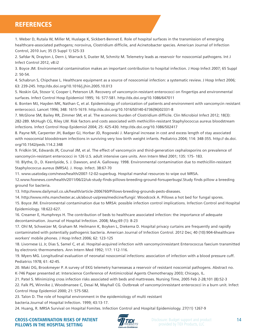# <span id="page-13-0"></span>**REFERENCES**

1. Weber D, Rutala W, Miller M, Huslage K, Sickbert-Bennet E. Role of hospital surfaces in the transmission of emerging healthcare-associated pathogens; norovirus, Clostridium difficile, and Acinetobacter species. American Journal of Infection Control, 2010 Jun; 35 (5 Suppl 1) S25-33

2. Safdar N, Drayton J, Dern J, Warrack S, Duster M, Schmitz M. Telemetry leads as reservoir for nosocomial pathogens. Int J Infect Control 2012, v8:i2

3. Boyce JM. Environmental contamination makes an important contribution to hospital infection. J Hosp Infect 2007; 65 Suppl 2: 50-54.

4. Schabrun S, Chipchase L. Healthcare equipment as a source of nosocomial infection: a systematic review. J Hosp Infect 2006; 63: 239-245. http://dx.doi.org/10.1016/j.jhin.2005.10.013

5. Noskin GA, Stosor V, Cooper I, Peterson LR. Recovery of vancomycin-resistant enterococci on fingertips and environmental surfaces. Infect Control Hosp Epidemiol 1995; 16: 577-581. http://dx.doi.org/10.1086/647011

6. Bonten MJ, Hayden MK, Nathan C, et al. Epidemiology of colonization of patients and environment with vancomycin resistant enterococci. Lancet 1996; 348: 1615-1619. http://dx.doi.org/10.1016/S0140-6736(96)02331-8

7. McGlone SM, Bailey RR, Zimmer SM, et al. The economic burden of Clostridium difficile. Clin Microbiol Infect 2012; 18(3): 282-289. McHugh CG, Riley LW. Risk factors and costs associated with methicillin-resistant Staphylococcus aureus bloodstream infections. Infect Control Hosp Epidemiol 2004; 25: 425-430. http://dx.doi.org/10.1086/502417

8. Payne NR, Carpenter JH, Badger GJ, Horbar JD, Rogowski J. Marginal increase in cost and excess length of stay associated with nosocomial bloodstream infections in surviving very low birth weight infants. Pediatrics 2004; 114: 348-355. http:// dx.doi. org/10.1542/peds.114.2.348

9. Fridkin SK, Edwards JR, Courval JM, et al. The effect of vancomycin and third-generation cephalosporins on prevalence of vancomycin-resistant enterococci in 126 U.S. adult intensive care units. Ann Intern Med 2001; 135: 175- 183.

10. Blythe, D., D. Keenlyside, S. J. Dawson, and A. Galloway. 1998. Environmental contamination due to methicillin-resistant Staphylococcus aureus (MRSA). J. Hosp. Infect. 38:67-70

11. www.usatoday.com/news/health/2007-12-02-superbug. Hospital marshal resources to wipe out MRSA.

12.www.foxnews.com/health/2011/06/22/uk-study-finds-pillows-breeding-ground-forsuperbugs/.Study finds pillow a breeding ground for bacteria.

13. http://www.dailymail.co.uk/health/article-2006760/Pillows-breeding-grounds-pests-diseases.

14. http://www.mhs.manchester.ac.uk/about-us/press/medicine/fungi/. Woodcock A. Pillows a hot bed for fungal spores.

15. Boyce JM. Environmental contamination due to MRSA: possible infection control implications. Infection Control and Hospital Epidemiology. 18:622-627.

16. Creamer E, Humphreys H. The contribution of beds to healthcare associated infection: the importance of adequate decontamination. Journal of Hospital Infection. 2008; May;69 (1): 8-23

17. Ohl M, Schweizer M, Graham M. Heilmann K, Boyken L, Diekema D. Hospital privacy curtains are frequently and rapidly contaminated with potentially pathogenic bacteria. American Journal of Infection Control. 2012 Dec; 40 (10):904-6healthcare workers' mobile phones. J Hosp Infect 2006; 62: 123-125

18. Livornese LL Jr, Dias S, Samel C, et al. Hospital-acquired infection with vancomycinresistant Enterococcus faecium transmitted by electronic thermometers. Ann Intern Med 1992; 117: 112-116.

19. Myers MG. Longitudinal evaluation of neonatal nosocomial infections: association of infection with a blood pressure cuff. Pediatrics 1978; 61: 42-45.

20. Maki DG, Brookmeyer P. A survey of EKG telemetry harnessesas a reservoir of resistant noscomial pathogens. Abstract no. K-746 Paper presented at: Interscience Conference of Antimicrobial Agents Chemotherapy 2003; Chicago, IL.

21. Patel S. Minimizing cross infection risks associated with beds and mattresses. Nursing Time, 2005 Feb 2-28;101 (8):52-3

22. Falk PS, Winnike J, Woodmansee C, Desai M, Mayhall CG. Outbreak of vancomycinresistant enterococci in a burn unit. Infect Control Hosp Epidemiol 2000; 21: 575-582.

23. Talon D. The role of hospital environment in the epidemiology of multi resistant

bacteria.Journal of Hospital Infection. 1999; 43:13-17.

24. Huang, R. MRSA Survival on Hospital Fomites. Infection Control and Hospital Epidemiology. 27(11) 1267-9



Disclosure: Budget support and product provided by TIDI Products, LLC